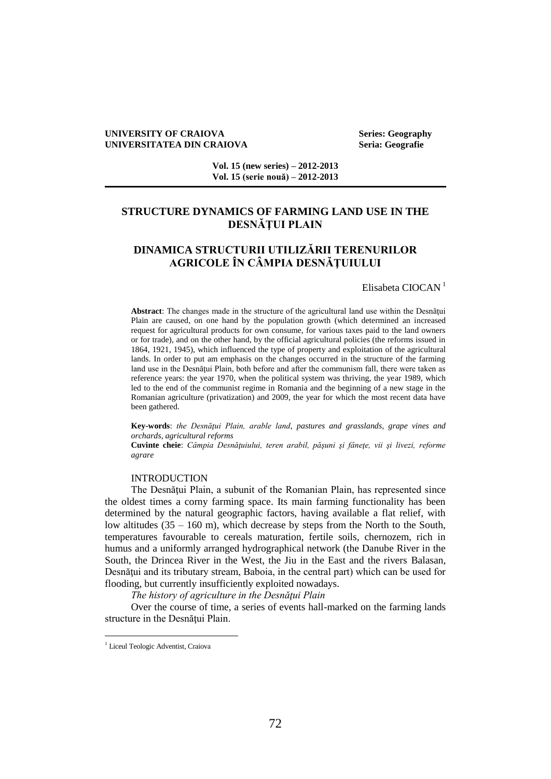### **UNIVERSITY OF CRAIOVA Series: Geography UNIVERSITATEA DIN CRAIOVA Seria: Geografie**

**Vol. 15 (new series) – 2012-2013 Vol. 15 (serie nouă) – 2012-2013**

## **STRUCTURE DYNAMICS OF FARMING LAND USE IN THE DESNĂŢUI PLAIN**

# **DINAMICA STRUCTURII UTILIZĂRII TERENURILOR AGRICOLE ÎN CÂMPIA DESNĂŢUIULUI**

Elisabeta CIOCAN<sup>1</sup>

**Abstract**: The changes made in the structure of the agricultural land use within the Desnăţui Plain are caused, on one hand by the population growth (which determined an increased request for agricultural products for own consume, for various taxes paid to the land owners or for trade), and on the other hand, by the official agricultural policies (the reforms issued in 1864, 1921, 1945), which influenced the type of property and exploitation of the agricultural lands. In order to put am emphasis on the changes occurred in the structure of the farming land use in the Desnăţui Plain, both before and after the communism fall, there were taken as reference years: the year 1970, when the political system was thriving, the year 1989, which led to the end of the communist regime in Romania and the beginning of a new stage in the Romanian agriculture (privatization) and 2009, the year for which the most recent data have been gathered.

Key-words: *the Desnătui Plain, arable land, pastures and grasslands, grape vines and orchards, agricultural reforms*

**Cuvinte cheie**: *Câmpia Desnăţuiului, teren arabil, păşuni şi fâneţe, vii şi livezi, reforme agrare*

## INTRODUCTION

The Desnăţui Plain, a subunit of the Romanian Plain, has represented since the oldest times a corny farming space. Its main farming functionality has been determined by the natural geographic factors, having available a flat relief, with low altitudes (35 – 160 m), which decrease by steps from the North to the South, temperatures favourable to cereals maturation, fertile soils, chernozem, rich in humus and a uniformly arranged hydrographical network (the Danube River in the South, the Drincea River in the West, the Jiu in the East and the rivers Balasan, Desnăţui and its tributary stream, Baboia, in the central part) which can be used for flooding, but currently insufficiently exploited nowadays.

*The history of agriculture in the Desnăţui Plain*

Over the course of time, a series of events hall-marked on the farming lands structure in the Desnăţui Plain.

 $\overline{a}$ 

<sup>&</sup>lt;sup>1</sup> Liceul Teologic Adventist, Craiova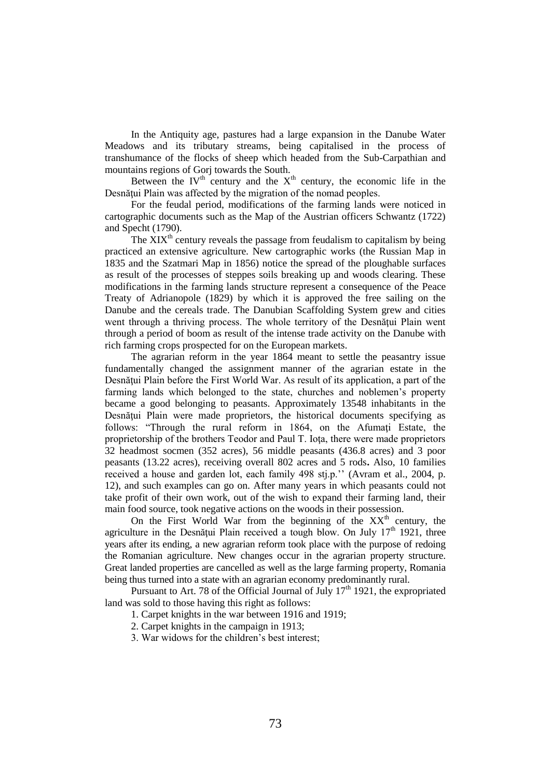In the Antiquity age, pastures had a large expansion in the Danube Water Meadows and its tributary streams, being capitalised in the process of transhumance of the flocks of sheep which headed from the Sub-Carpathian and mountains regions of Gorj towards the South.

Between the IV<sup>th</sup> century and the  $X<sup>th</sup>$  century, the economic life in the Desnătui Plain was affected by the migration of the nomad peoples.

For the feudal period, modifications of the farming lands were noticed in cartographic documents such as the Map of the Austrian officers Schwantz (1722) and Specht (1790).

The  $XIX<sup>th</sup>$  century reveals the passage from feudalism to capitalism by being practiced an extensive agriculture. New cartographic works (the Russian Map in 1835 and the Szatmari Map in 1856) notice the spread of the ploughable surfaces as result of the processes of steppes soils breaking up and woods clearing. These modifications in the farming lands structure represent a consequence of the Peace Treaty of Adrianopole (1829) by which it is approved the free sailing on the Danube and the cereals trade. The Danubian Scaffolding System grew and cities went through a thriving process. The whole territory of the Desnătui Plain went through a period of boom as result of the intense trade activity on the Danube with rich farming crops prospected for on the European markets.

The agrarian reform in the year 1864 meant to settle the peasantry issue fundamentally changed the assignment manner of the agrarian estate in the Desnătui Plain before the First World War. As result of its application, a part of the farming lands which belonged to the state, churches and noblemen's property became a good belonging to peasants. Approximately 13548 inhabitants in the Desnățui Plain were made proprietors, the historical documents specifying as follows: "Through the rural reform in 1864, on the Afumați Estate, the proprietorship of the brothers Teodor and Paul T. Ioţa, there were made proprietors 32 headmost socmen (352 acres), 56 middle peasants (436.8 acres) and 3 poor peasants (13.22 acres), receiving overall 802 acres and 5 rods**.** Also, 10 families received a house and garden lot, each family 498 stj.p.'' (Avram et al., 2004, p. 12), and such examples can go on. After many years in which peasants could not take profit of their own work, out of the wish to expand their farming land, their main food source, took negative actions on the woods in their possession.

On the First World War from the beginning of the  $XX<sup>th</sup>$  century, the agriculture in the Desnățui Plain received a tough blow. On July 17<sup>th</sup> 1921, three years after its ending, a new agrarian reform took place with the purpose of redoing the Romanian agriculture. New changes occur in the agrarian property structure. Great landed properties are cancelled as well as the large farming property, Romania being thus turned into a state with an agrarian economy predominantly rural.

Pursuant to Art. 78 of the Official Journal of July  $17<sup>th</sup> 1921$ , the expropriated land was sold to those having this right as follows:

1. Carpet knights in the war between 1916 and 1919;

2. Carpet knights in the campaign in 1913;

3. War widows for the children's best interest;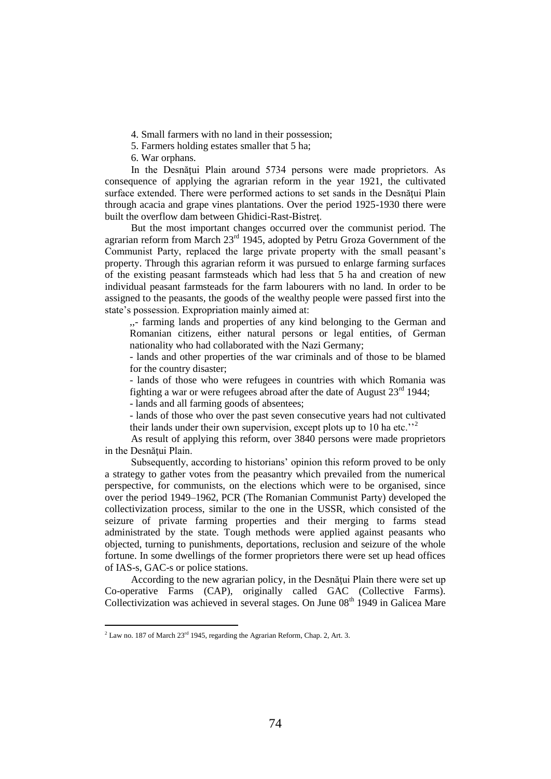4. Small farmers with no land in their possession;

5. Farmers holding estates smaller that 5 ha;

6. War orphans.

In the Desnăţui Plain around 5734 persons were made proprietors. As consequence of applying the agrarian reform in the year 1921, the cultivated surface extended. There were performed actions to set sands in the Desnățui Plain through acacia and grape vines plantations. Over the period 1925-1930 there were built the overflow dam between Ghidici-Rast-Bistreţ.

But the most important changes occurred over the communist period. The agrarian reform from March  $23<sup>rd</sup> 1945$ , adopted by Petru Groza Government of the Communist Party, replaced the large private property with the small peasant's property. Through this agrarian reform it was pursued to enlarge farming surfaces of the existing peasant farmsteads which had less that 5 ha and creation of new individual peasant farmsteads for the farm labourers with no land. In order to be assigned to the peasants, the goods of the wealthy people were passed first into the state's possession. Expropriation mainly aimed at:

,,- farming lands and properties of any kind belonging to the German and Romanian citizens, either natural persons or legal entities, of German nationality who had collaborated with the Nazi Germany;

- lands and other properties of the war criminals and of those to be blamed for the country disaster;

- lands of those who were refugees in countries with which Romania was fighting a war or were refugees abroad after the date of August  $23<sup>rd</sup> 1944$ ;

- lands and all farming goods of absentees;

- lands of those who over the past seven consecutive years had not cultivated their lands under their own supervision, except plots up to 10 ha etc.<sup> $2$ </sup>

As result of applying this reform, over 3840 persons were made proprietors in the Desnăţui Plain.

Subsequently, according to historians' opinion this reform proved to be only a strategy to gather votes from the peasantry which prevailed from the numerical perspective, for communists, on the elections which were to be organised, since over the period 1949–1962, PCR (The Romanian Communist [Party\)](http://ro.wikipedia.org/wiki/Partidul_Comunist_Rom%C3%A2n) developed the collectivization process, similar to the one in the USSR, which consisted of the seizure of private farming properties and their merging to farms stead administrated by the state. Tough methods were applied against peasants who objected, turning to punishments, deportations, reclusion and seizure of the whole fortune. In some dwellings of the former proprietors there were set up head offices of IAS-s, GAC-s or police stations.

According to the new agrarian policy, in the Desnăţui Plain there were set up Co-operative Farms (CAP), originally called GAC (Collective Farms). Collectivization was achieved in several stages. On June  $08<sup>th</sup> 1949$  in Galicea Mare

l

 $2$  Law no. 187 of March  $23<sup>rd</sup>$  1945, regarding the Agrarian Reform, Chap. 2, Art. 3.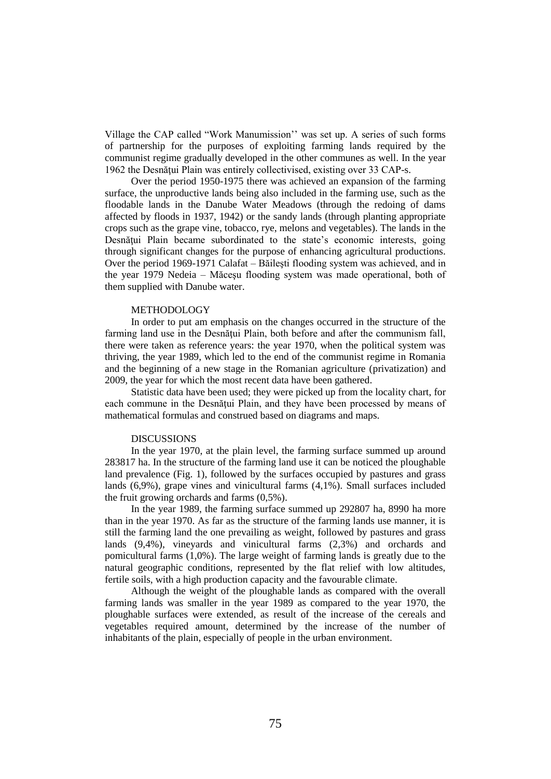Village the CAP called "Work Manumission'' was set up. A series of such forms of partnership for the purposes of exploiting farming lands required by the communist regime gradually developed in the other communes as well. In the year 1962 the Desnăţui Plain was entirely collectivised, existing over 33 CAP-s.

Over the period 1950-1975 there was achieved an expansion of the farming surface, the unproductive lands being also included in the farming use, such as the floodable lands in the Danube Water Meadows (through the redoing of dams affected by floods in 1937, 1942) or the sandy lands (through planting appropriate crops such as the grape vine, tobacco, rye, melons and vegetables). The lands in the Desnățui Plain became subordinated to the state's economic interests, going through significant changes for the purpose of enhancing agricultural productions. Over the period 1969-1971 Calafat – Băileşti flooding system was achieved, and in the year 1979 Nedeia – Măceşu flooding system was made operational, both of them supplied with Danube water.

## METHODOLOGY

In order to put am emphasis on the changes occurred in the structure of the farming land use in the Desnățui Plain, both before and after the communism fall, there were taken as reference years: the year 1970, when the political system was thriving, the year 1989, which led to the end of the communist regime in Romania and the beginning of a new stage in the Romanian agriculture (privatization) and 2009, the year for which the most recent data have been gathered.

Statistic data have been used; they were picked up from the locality chart, for each commune in the Desnățui Plain, and they have been processed by means of mathematical formulas and construed based on diagrams and maps.

#### DISCUSSIONS

In the year 1970, at the plain level, the farming surface summed up around 283817 ha. In the structure of the farming land use it can be noticed the ploughable land prevalence (Fig. 1), followed by the surfaces occupied by pastures and grass lands (6,9%), grape vines and vinicultural farms (4,1%). Small surfaces included the fruit growing orchards and farms (0,5%).

In the year 1989, the farming surface summed up 292807 ha, 8990 ha more than in the year 1970. As far as the structure of the farming lands use manner, it is still the farming land the one prevailing as weight, followed by pastures and grass lands (9,4%), vineyards and vinicultural farms (2,3%) and orchards and pomicultural farms (1,0%). The large weight of farming lands is greatly due to the natural geographic conditions, represented by the flat relief with low altitudes, fertile soils, with a high production capacity and the favourable climate.

Although the weight of the ploughable lands as compared with the overall farming lands was smaller in the year 1989 as compared to the year 1970, the ploughable surfaces were extended, as result of the increase of the cereals and vegetables required amount, determined by the increase of the number of inhabitants of the plain, especially of people in the urban environment.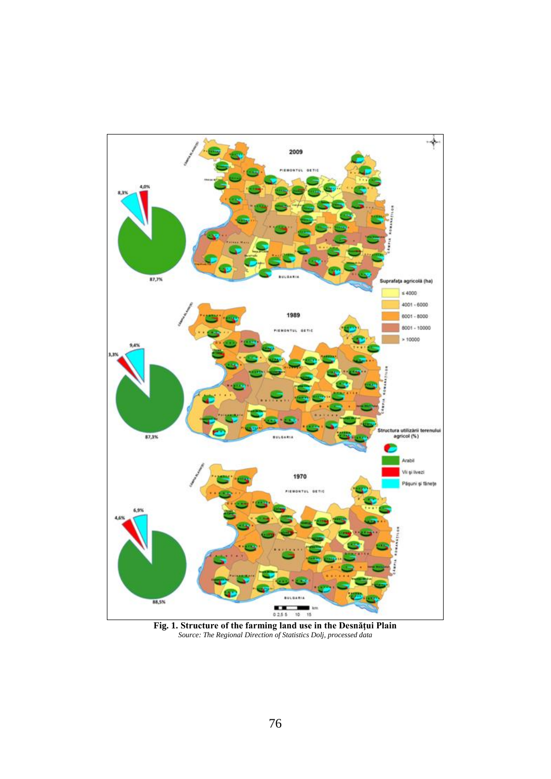

**Fig. 1. Structure of the farming land use in the Desnăţui Plain** *Source: The Regional Direction of Statistics Dolj, processed data*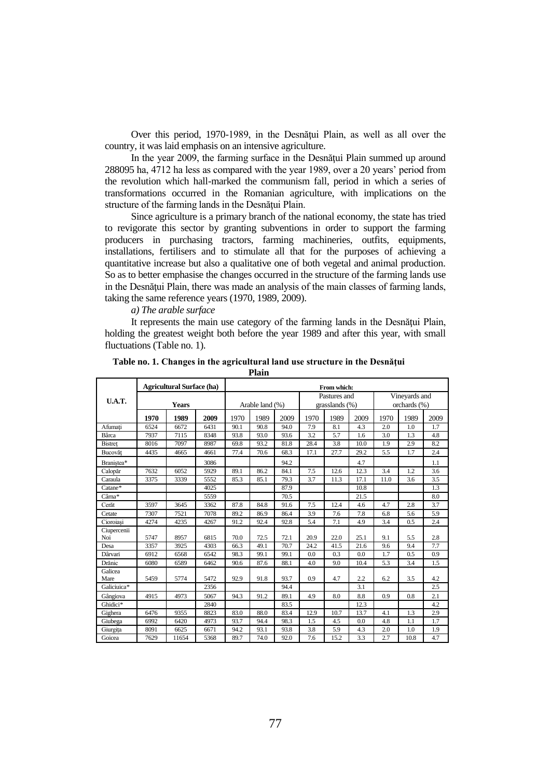Over this period, 1970-1989, in the Desnăţui Plain, as well as all over the country, it was laid emphasis on an intensive agriculture.

In the year 2009, the farming surface in the Desnătui Plain summed up around 288095 ha, 4712 ha less as compared with the year 1989, over a 20 years' period from the revolution which hall-marked the communism fall, period in which a series of transformations occurred in the Romanian agriculture, with implications on the structure of the farming lands in the Desnătui Plain.

Since agriculture is a primary branch of the national economy, the state has tried to revigorate this sector by granting subventions in order to support the farming producers in purchasing tractors, farming machineries, outfits, equipments, installations, fertilisers and to stimulate all that for the purposes of achieving a quantitative increase but also a qualitative one of both vegetal and animal production. So as to better emphasise the changes occurred in the structure of the farming lands use in the Desnățui Plain, there was made an analysis of the main classes of farming lands, taking the same reference years (1970, 1989, 2009).

## *a) The arable surface*

It represents the main use category of the farming lands in the Desnătui Plain, holding the greatest weight both before the year 1989 and after this year, with small fluctuations (Table no. 1).

|                    | <b>Agricultural Surface (ha)</b> |       |      | From which:     |      |      |                                   |      |      |                               |      |      |
|--------------------|----------------------------------|-------|------|-----------------|------|------|-----------------------------------|------|------|-------------------------------|------|------|
| <b>U.A.T.</b>      | <b>Years</b>                     |       |      | Arable land (%) |      |      | Pastures and<br>grasslands $(\%)$ |      |      | Vineyards and<br>orchards (%) |      |      |
|                    | 1970                             | 1989  | 2009 | 1970            | 1989 | 2009 | 1970                              | 1989 | 2009 | 1970                          | 1989 | 2009 |
| Afumați            | 6524                             | 6672  | 6431 | 90.1            | 90.8 | 94.0 | 7.9                               | 8.1  | 4.3  | 2.0                           | 1.0  | 1.7  |
| Bârca              | 7937                             | 7115  | 8348 | 93.8            | 93.0 | 93.6 | 3.2                               | 5.7  | 1.6  | 3.0                           | 1.3  | 4.8  |
| <b>Bistret</b>     | 8016                             | 7097  | 8987 | 69.8            | 93.2 | 81.8 | 28.4                              | 3.8  | 10.0 | 1.9                           | 2.9  | 8.2  |
| Bucovăt            | 4435                             | 4665  | 4661 | 77.4            | 70.6 | 68.3 | 17.1                              | 27.7 | 29.2 | 5.5                           | 1.7  | 2.4  |
| Branistea*         |                                  |       | 3086 |                 |      | 94.2 |                                   |      | 4.7  |                               |      | 1.1  |
| Calopăr            | 7632                             | 6052  | 5929 | 89.1            | 86.2 | 84.1 | 7.5                               | 12.6 | 12.3 | 3.4                           | 1.2  | 3.6  |
| Caraula            | 3375                             | 3339  | 5552 | 85.3            | 85.1 | 79.3 | 3.7                               | 11.3 | 17.1 | 11.0                          | 3.6  | 3.5  |
| Catane*            |                                  |       | 4025 |                 |      | 87.9 |                                   |      | 10.8 |                               |      | 1.3  |
| Cârna*             |                                  |       | 5559 |                 |      | 70.5 |                                   |      | 21.5 |                               |      | 8.0  |
| Cerăt              | 3597                             | 3645  | 3362 | 87.8            | 84.8 | 91.6 | 7.5                               | 12.4 | 4.6  | 4.7                           | 2.8  | 3.7  |
| Cetate             | 7307                             | 7521  | 7078 | 89.2            | 86.9 | 86.4 | 3.9                               | 7.6  | 7.8  | 6.8                           | 5.6  | 5.9  |
| Cioroiasi          | 4274                             | 4235  | 4267 | 91.2            | 92.4 | 92.8 | 5.4                               | 7.1  | 4.9  | 3.4                           | 0.5  | 2.4  |
| Ciupercenii<br>Noi | 5747                             | 8957  | 6815 | 70.0            | 72.5 | 72.1 | 20.9                              | 22.0 | 25.1 | 9.1                           | 5.5  | 2.8  |
| Desa               | 3357                             | 3925  | 4303 | 66.3            | 49.1 | 70.7 | 24.2                              | 41.5 | 21.6 | 9.6                           | 9.4  | 7.7  |
| Dârvari            | 6912                             | 6568  | 6542 | 98.3            | 99.1 | 99.1 | 0.0                               | 0.3  | 0.0  | 1.7                           | 0.5  | 0.9  |
| Drănic             | 6080                             | 6589  | 6462 | 90.6            | 87.6 | 88.1 | 4.0                               | 9.0  | 10.4 | 5.3                           | 3.4  | 1.5  |
| Galicea<br>Mare    | 5459                             | 5774  | 5472 | 92.9            | 91.8 | 93.7 | 0.9                               | 4.7  | 2.2  | 6.2                           | 3.5  | 4.2  |
| Galiciuica*        |                                  |       | 2356 |                 |      | 94.4 |                                   |      | 3.1  |                               |      | 2.5  |
| Gângiova           | 4915                             | 4973  | 5067 | 94.3            | 91.2 | 89.1 | 4.9                               | 8.0  | 8.8  | 0.9                           | 0.8  | 2.1  |
| Ghidici*           |                                  |       | 2840 |                 |      | 83.5 |                                   |      | 12.3 |                               |      | 4.2  |
| Gighera            | 6476                             | 9355  | 8823 | 83.0            | 88.0 | 83.4 | 12.9                              | 10.7 | 13.7 | 4.1                           | 1.3  | 2.9  |
| Giubega            | 6992                             | 6420  | 4973 | 93.7            | 94.4 | 98.3 | 1.5                               | 4.5  | 0.0  | 4.8                           | 1.1  | 1.7  |
| Giurgița           | 8091                             | 6625  | 6671 | 94.2            | 93.1 | 93.8 | 3.8                               | 5.9  | 4.3  | 2.0                           | 1.0  | 1.9  |
| Goicea             | 7629                             | 11654 | 5368 | 89.7            | 74.0 | 92.0 | 7.6                               | 15.2 | 3.3  | 2.7                           | 10.8 | 4.7  |

**Table no. 1. Changes in the agricultural land use structure in the Desnăţui Plain**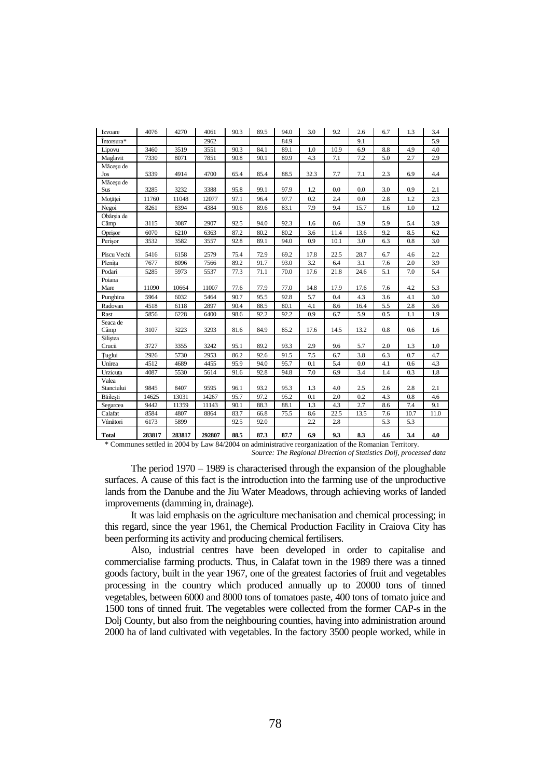| Izvoare             | 4076   | 4270   | 4061   | 90.3 | 89.5 | 94.0 | 3.0  | 9.2  | 2.6  | 6.7 | 1.3  | 3.4  |
|---------------------|--------|--------|--------|------|------|------|------|------|------|-----|------|------|
| Întorsura*          |        |        | 2962   |      |      | 84.9 |      |      | 9.1  |     |      | 5.9  |
| Lipovu              | 3460   | 3519   | 3551   | 90.3 | 84.1 | 89.1 | 1.0  | 10.9 | 6.9  | 8.8 | 4.9  | 4.0  |
| Maglavit            | 7330   | 8071   | 7851   | 90.8 | 90.1 | 89.9 | 4.3  | 7.1  | 7.2  | 5.0 | 2.7  | 2.9  |
| Măceșu de<br>Jos    | 5339   | 4914   | 4700   | 65.4 | 85.4 | 88.5 | 32.3 | 7.7  | 7.1  | 2.3 | 6.9  | 4.4  |
| Măcesu de<br>Sus    | 3285   | 3232   | 3388   | 95.8 | 99.1 | 97.9 | 1.2  | 0.0  | 0.0  | 3.0 | 0.9  | 2.1  |
| Moțăței             | 11760  | 11048  | 12077  | 97.1 | 96.4 | 97.7 | 0.2  | 2.4  | 0.0  | 2.8 | 1.2  | 2.3  |
| Negoi               | 8261   | 8394   | 4384   | 90.6 | 89.6 | 83.1 | 7.9  | 9.4  | 15.7 | 1.6 | 1.0  | 1.2  |
| Obârsia de<br>Câmp  | 3115   | 3087   | 2907   | 92.5 | 94.0 | 92.3 | 1.6  | 0.6  | 3.9  | 5.9 | 5.4  | 3.9  |
| Oprisor             | 6070   | 6210   | 6363   | 87.2 | 80.2 | 80.2 | 3.6  | 11.4 | 13.6 | 9.2 | 8.5  | 6.2  |
| Perisor             | 3532   | 3582   | 3557   | 92.8 | 89.1 | 94.0 | 0.9  | 10.1 | 3.0  | 6.3 | 0.8  | 3.0  |
| Piscu Vechi         | 5416   | 6158   | 2579   | 75.4 | 72.9 | 69.2 | 17.8 | 22.5 | 28.7 | 6.7 | 4.6  | 2.2  |
| Plenita             | 7677   | 8096   | 7566   | 89.2 | 91.7 | 93.0 | 3.2  | 6.4  | 3.1  | 7.6 | 2.0  | 3.9  |
| Podari              | 5285   | 5973   | 5537   | 77.3 | 71.1 | 70.0 | 17.6 | 21.8 | 24.6 | 5.1 | 7.0  | 5.4  |
| Poiana<br>Mare      | 11090  | 10664  | 11007  | 77.6 | 77.9 | 77.0 | 14.8 | 17.9 | 17.6 | 7.6 | 4.2  | 5.3  |
| Punghina            | 5964   | 6032   | 5464   | 90.7 | 95.5 | 92.8 | 5.7  | 0.4  | 4.3  | 3.6 | 4.1  | 3.0  |
| Radovan             | 4518   | 6118   | 2897   | 90.4 | 88.5 | 80.1 | 4.1  | 8.6  | 16.4 | 5.5 | 2.8  | 3.6  |
| Rast                | 5856   | 6228   | 6400   | 98.6 | 92.2 | 92.2 | 0.9  | 6.7  | 5.9  | 0.5 | 1.1  | 1.9  |
| Seaca de<br>Câmp    | 3107   | 3223   | 3293   | 81.6 | 84.9 | 85.2 | 17.6 | 14.5 | 13.2 | 0.8 | 0.6  | 1.6  |
| Siliștea<br>Crucii  | 3727   | 3355   | 3242   | 95.1 | 89.2 | 93.3 | 2.9  | 9.6  | 5.7  | 2.0 | 1.3  | 1.0  |
| Tuglui              | 2926   | 5730   | 2953   | 86.2 | 92.6 | 91.5 | 7.5  | 6.7  | 3.8  | 6.3 | 0.7  | 4.7  |
| Unirea              | 4512   | 4689   | 4455   | 95.9 | 94.0 | 95.7 | 0.1  | 5.4  | 0.0  | 4.1 | 0.6  | 4.3  |
| Urzicuța            | 4087   | 5530   | 5614   | 91.6 | 92.8 | 94.8 | 7.0  | 6.9  | 3.4  | 1.4 | 0.3  | 1.8  |
| Valea<br>Stanciului | 9845   | 8407   | 9595   | 96.1 | 93.2 | 95.3 | 1.3  | 4.0  | 2.5  | 2.6 | 2.8  | 2.1  |
| Băilești            | 14625  | 13031  | 14267  | 95.7 | 97.2 | 95.2 | 0.1  | 2.0  | 0.2  | 4.3 | 0.8  | 4.6  |
| Segarcea            | 9442   | 11359  | 11143  | 90.1 | 88.3 | 88.1 | 1.3  | 4.3  | 2.7  | 8.6 | 7.4  | 9.1  |
| Calafat             | 8584   | 4807   | 8864   | 83.7 | 66.8 | 75.5 | 8.6  | 22.5 | 13.5 | 7.6 | 10.7 | 11.0 |
| Vânători            | 6173   | 5899   |        | 92.5 | 92.0 |      | 2.2  | 2.8  |      | 5.3 | 5.3  |      |
| <b>Total</b>        | 283817 | 283817 | 292807 | 88.5 | 87.3 | 87.7 | 6.9  | 9.3  | 8.3  | 4.6 | 3.4  | 4.0  |

\* Communes settled in 2004 by Law 84/2004 on administrative reorganization of the Romanian Territory. *Source: The Regional Direction of Statistics Dolj, processed data*

The period 1970 – 1989 is characterised through the expansion of the ploughable surfaces. A cause of this fact is the introduction into the farming use of the unproductive lands from the Danube and the Jiu Water Meadows, through achieving works of landed improvements (damming in, drainage).

It was laid emphasis on the agriculture mechanisation and chemical processing; in this regard, since the year 1961, the Chemical Production Facility in Craiova City has been performing its activity and producing chemical fertilisers.

Also, industrial centres have been developed in order to capitalise and commercialise farming products. Thus, in Calafat town in the 1989 there was a tinned goods factory, built in the year 1967, one of the greatest factories of fruit and vegetables processing in the country which produced annually up to 20000 tons of tinned vegetables, between 6000 and 8000 tons of tomatoes paste, 400 tons of tomato juice and 1500 tons of tinned fruit. The vegetables were collected from the former CAP-s in the Dolj County, but also from the neighbouring counties, having into administration around 2000 ha of land cultivated with vegetables. In the factory 3500 people worked, while in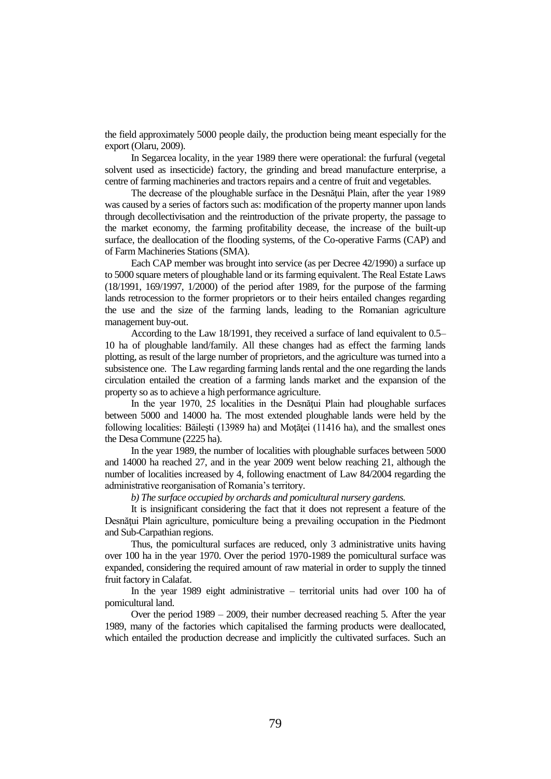the field approximately 5000 people daily, the production being meant especially for the export (Olaru, 2009).

In Segarcea locality, in the year 1989 there were operational: the furfural (vegetal solvent used as insecticide) factory, the grinding and bread manufacture enterprise, a centre of farming machineries and tractors repairs and a centre of fruit and vegetables.

The decrease of the ploughable surface in the Desnățui Plain, after the year 1989 was caused by a series of factors such as: modification of the property manner upon lands through decollectivisation and the reintroduction of the private property, the passage to the market economy, the farming profitability decease, the increase of the built-up surface, the deallocation of the flooding systems, of the Co-operative Farms (CAP) and of Farm Machineries Stations (SMA).

Each CAP member was brought into service (as per Decree 42/1990) a surface up to 5000 square meters of ploughable land or its farming equivalent. The Real Estate Laws (18/1991, 169/1997, 1/2000) of the period after 1989, for the purpose of the farming lands retrocession to the former proprietors or to their heirs entailed changes regarding the use and the size of the farming lands, leading to the Romanian agriculture management buy-out.

According to the Law 18/1991, they received a surface of land equivalent to 0.5– 10 ha of ploughable land/family. All these changes had as effect the farming lands plotting, as result of the large number of proprietors, and the agriculture was turned into a subsistence one. The Law regarding farming lands rental and the one regarding the lands circulation entailed the creation of a farming lands market and the expansion of the property so as to achieve a high performance agriculture.

In the year 1970, 25 localities in the Desnățui Plain had ploughable surfaces between 5000 and 14000 ha. The most extended ploughable lands were held by the following localities: Băileşti (13989 ha) and Moţăţei (11416 ha), and the smallest ones the Desa Commune (2225 ha).

In the year 1989, the number of localities with ploughable surfaces between 5000 and 14000 ha reached 27, and in the year 2009 went below reaching 21, although the number of localities increased by 4, following enactment of Law 84/2004 regarding the administrative reorganisation of Romania's territory.

*b) The surface occupied by orchards and pomicultural nursery gardens.*

It is insignificant considering the fact that it does not represent a feature of the Desnăţui Plain agriculture, pomiculture being a prevailing occupation in the Piedmont and Sub-Carpathian regions.

Thus, the pomicultural surfaces are reduced, only 3 administrative units having over 100 ha in the year 1970. Over the period 1970-1989 the pomicultural surface was expanded, considering the required amount of raw material in order to supply the tinned fruit factory in Calafat.

In the year 1989 eight administrative – territorial units had over 100 ha of pomicultural land.

Over the period 1989 – 2009, their number decreased reaching 5. After the year 1989, many of the factories which capitalised the farming products were deallocated, which entailed the production decrease and implicitly the cultivated surfaces. Such an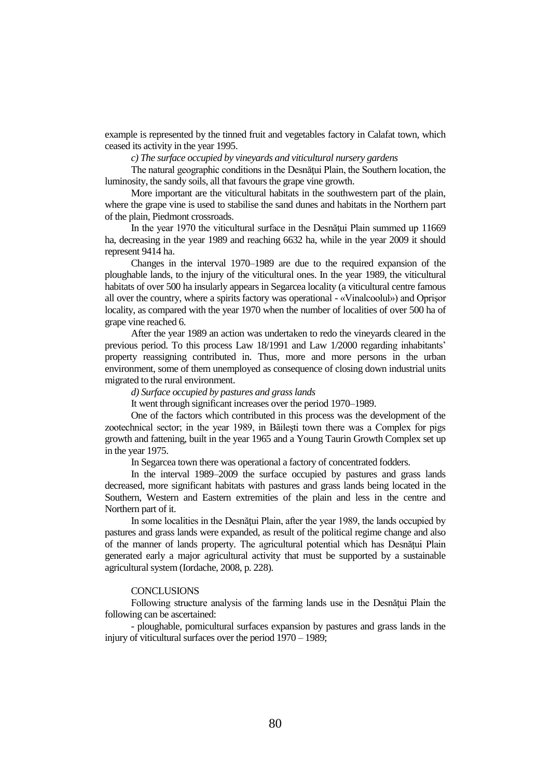example is represented by the tinned fruit and vegetables factory in Calafat town, which ceased its activity in the year 1995.

*c) The surface occupied by vineyards and viticultural nursery gardens*

The natural geographic conditions in the Desnătui Plain, the Southern location, the luminosity, the sandy soils, all that favours the grape vine growth.

More important are the viticultural habitats in the southwestern part of the plain, where the grape vine is used to stabilise the sand dunes and habitats in the Northern part of the plain, Piedmont crossroads.

In the year 1970 the viticultural surface in the Desnătui Plain summed up 11669 ha, decreasing in the year 1989 and reaching 6632 ha, while in the year 2009 it should represent 9414 ha.

Changes in the interval 1970–1989 are due to the required expansion of the ploughable lands, to the injury of the viticultural ones. In the year 1989, the viticultural habitats of over 500 ha insularly appears in Segarcea locality (a viticultural centre famous all over the country, where a spirits factory was operational - «Vinalcoolul») and Oprişor locality, as compared with the year 1970 when the number of localities of over 500 ha of grape vine reached 6.

After the year 1989 an action was undertaken to redo the vineyards cleared in the previous period. To this process Law 18/1991 and Law 1/2000 regarding inhabitants' property reassigning contributed in. Thus, more and more persons in the urban environment, some of them unemployed as consequence of closing down industrial units migrated to the rural environment.

*d) Surface occupied by pastures and grass lands* 

It went through significant increases over the period 1970–1989.

One of the factors which contributed in this process was the development of the zootechnical sector; in the year 1989, in Băileşti town there was a Complex for pigs growth and fattening, built in the year 1965 and a Young Taurin Growth Complex set up in the year 1975.

In Segarcea town there was operational a factory of concentrated fodders.

In the interval 1989–2009 the surface occupied by pastures and grass lands decreased, more significant habitats with pastures and grass lands being located in the Southern, Western and Eastern extremities of the plain and less in the centre and Northern part of it.

In some localities in the Desnățui Plain, after the year 1989, the lands occupied by pastures and grass lands were expanded, as result of the political regime change and also of the manner of lands property. The agricultural potential which has Desnățui Plain generated early a major agricultural activity that must be supported by a sustainable agricultural system (Iordache, 2008, p. 228).

## **CONCLUSIONS**

Following structure analysis of the farming lands use in the Desnătui Plain the following can be ascertained:

- ploughable, pomicultural surfaces expansion by pastures and grass lands in the injury of viticultural surfaces over the period 1970 – 1989;